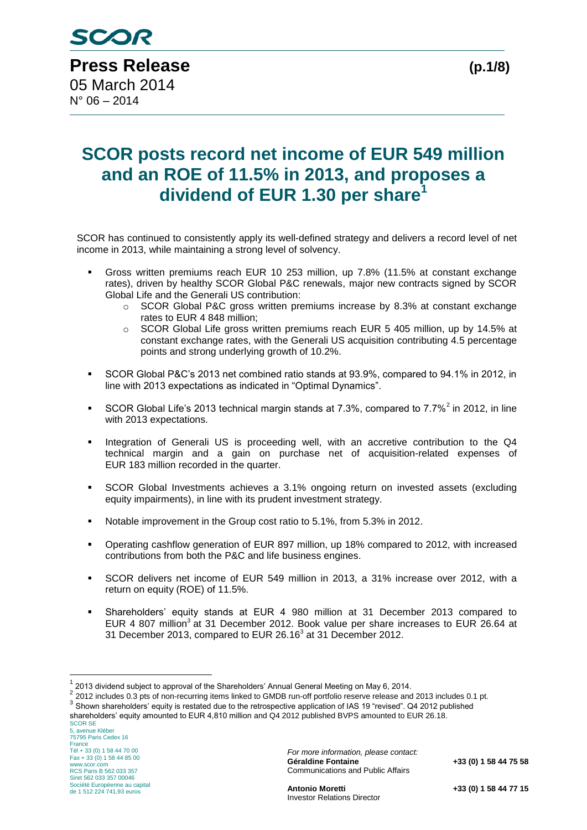# **SCOR posts record net income of EUR 549 million and an ROE of 11.5% in 2013, and proposes a dividend of EUR 1.30 per share<sup>1</sup>**

SCOR has continued to consistently apply its well-defined strategy and delivers a record level of net income in 2013, while maintaining a strong level of solvency.

- Gross written premiums reach EUR 10 253 million, up 7.8% (11.5% at constant exchange rates), driven by healthy SCOR Global P&C renewals, major new contracts signed by SCOR Global Life and the Generali US contribution:
	- $\circ$  SCOR Global P&C gross written premiums increase by 8.3% at constant exchange rates to EUR 4 848 million;
	- $\circ$  SCOR Global Life gross written premiums reach EUR 5 405 million, up by 14.5% at constant exchange rates, with the Generali US acquisition contributing 4.5 percentage points and strong underlying growth of 10.2%.
- SCOR Global P&C's 2013 net combined ratio stands at 93.9%, compared to 94.1% in 2012, in line with 2013 expectations as indicated in "Optimal Dynamics".
- SCOR Global Life's 2013 technical margin stands at 7.3%, compared to 7.7%<sup>2</sup> in 2012, in line with 2013 expectations.
- Integration of Generali US is proceeding well, with an accretive contribution to the Q4 technical margin and a gain on purchase net of acquisition-related expenses of EUR 183 million recorded in the quarter.
- SCOR Global Investments achieves a 3.1% ongoing return on invested assets (excluding equity impairments), in line with its prudent investment strategy.
- Notable improvement in the Group cost ratio to 5.1%, from 5.3% in 2012.
- Operating cashflow generation of EUR 897 million, up 18% compared to 2012, with increased contributions from both the P&C and life business engines.
- SCOR delivers net income of EUR 549 million in 2013, a 31% increase over 2012, with a return on equity (ROE) of 11.5%.
- Shareholders' equity stands at EUR 4 980 million at 31 December 2013 compared to EUR 4 807 million<sup>3</sup> at 31 December 2012. Book value per share increases to EUR 26.64 at 31 December 2013, compared to EUR 26.16 $3$  at 31 December 2012.

SCOR SE shareholders' equity amounted to EUR 4,810 million and Q4 2012 published BVPS amounted to EUR 26.18.

<u>.</u>

 $1$  2013 dividend subject to approval of the Shareholders' Annual General Meeting on May 6, 2014.

<sup>&</sup>lt;sup>2</sup> 2012 includes 0.3 pts of non-recurring items linked to GMDB run-off portfolio reserve release and 2013 includes 0.1 pt.

<sup>&</sup>lt;sup>3</sup> Shown shareholders' equity is restated due to the retrospective application of IAS 19 "revised". Q4 2012 published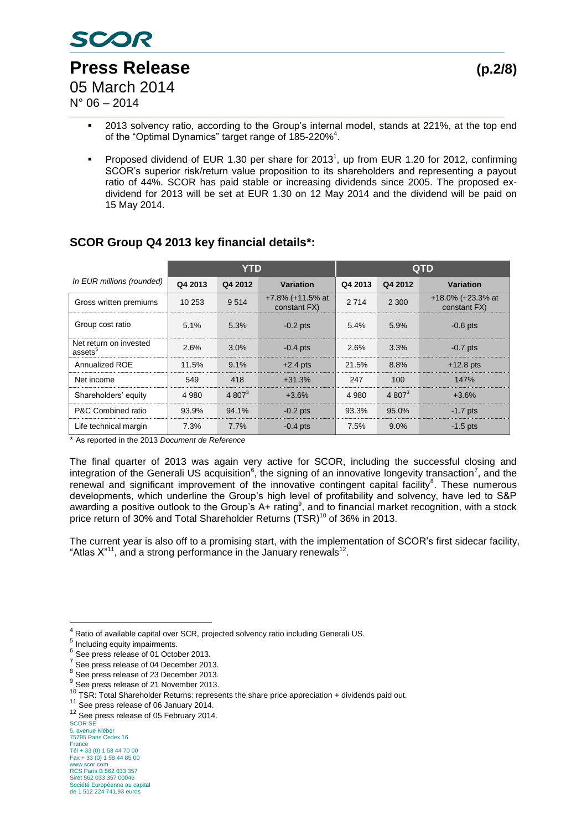

 $N^{\circ}$  06 – 2014

- 2013 solvency ratio, according to the Group's internal model, stands at 221%, at the top end of the "Optimal Dynamics" target range of 185-220%<sup>4</sup>.
- Proposed dividend of EUR 1.30 per share for 2013<sup>1</sup>, up from EUR 1.20 for 2012, confirming SCOR's superior risk/return value proposition to its shareholders and representing a payout ratio of 44%. SCOR has paid stable or increasing dividends since 2005. The proposed exdividend for 2013 will be set at EUR 1.30 on 12 May 2014 and the dividend will be paid on 15 May 2014.

|                                               |         | YTD        |                                     |         | <b>QTD</b> |                                      |  |  |
|-----------------------------------------------|---------|------------|-------------------------------------|---------|------------|--------------------------------------|--|--|
| In EUR millions (rounded)                     | Q4 2013 | Q4 2012    | Variation                           | Q4 2013 | Q4 2012    | Variation                            |  |  |
| Gross written premiums                        | 10 253  | 9514       | $+7.8\%$ (+11.5% at<br>constant FX) | 2 7 1 4 | 2 3 0 0    | $+18.0\%$ (+23.3% at<br>constant FX) |  |  |
| Group cost ratio                              | 5.1%    | 5.3%       | $-0.2$ pts                          | 5.4%    | 5.9%       | $-0.6$ pts                           |  |  |
| Net return on invested<br>assets <sup>5</sup> | 2.6%    | 3.0%       | $-0.4$ pts                          | 2.6%    | 3.3%       | $-0.7$ pts                           |  |  |
| Annualized ROE                                | 11.5%   | 9.1%       | $+2.4$ pts                          | 21.5%   | 8.8%       | $+12.8$ pts                          |  |  |
| Net income                                    | 549     | 418        | $+31.3%$                            | 247     | 100        | 147%                                 |  |  |
| Shareholders' equity                          | 4 9 8 0 | 4 80 $7^3$ | $+3.6%$                             | 4 9 8 0 | 4 80 $7^3$ | $+3.6%$                              |  |  |
| P&C Combined ratio                            | 93.9%   | 94.1%      | $-0.2$ pts                          | 93.3%   | 95.0%      | $-1.7$ pts                           |  |  |
| Life technical margin                         | 7.3%    | 7.7%       | $-0.4$ pts                          | 7.5%    | $9.0\%$    | $-1.5$ pts                           |  |  |

## **SCOR Group Q4 2013 key financial details\*:**

\* As reported in the 2013 *Document de Reference*

The final quarter of 2013 was again very active for SCOR, including the successful closing and integration of the Generali US acquisition<sup>6</sup>, the signing of an innovative longevity transaction<sup>7</sup>, and the renewal and significant improvement of the innovative contingent capital facility<sup>8</sup>. These numerous developments, which underline the Group's high level of profitability and solvency, have led to S&P awarding a positive outlook to the Group's  $A+$  rating<sup>9</sup>, and to financial market recognition, with a stock price return of 30% and Total Shareholder Returns (TSR)<sup>10</sup> of 36% in 2013.

The current year is also off to a promising start, with the implementation of SCOR's first sidecar facility, "Atlas  $X^{"1"}$ , and a strong performance in the January renewals<sup>12</sup>.

1

<sup>4</sup> Ratio of available capital over SCR, projected solvency ratio including Generali US.

<sup>&</sup>lt;sup>5</sup> Including equity impairments.

<sup>6</sup> See press release of 01 October 2013.

 $\frac{7}{1}$  See press release of 04 December 2013.

 $^8$  See press release of 23 December 2013.

 $9^9$  See press release of 21 November 2013.

<sup>10</sup> TSR: Total Shareholder Returns: represents the share price appreciation + dividends paid out.

<sup>&</sup>lt;sup>11</sup> See press release of 06 January 2014.

<sup>&</sup>lt;sup>12</sup> See press release of 05 February 2014.

SCOR SE 5, avenue Kléber 75795 Paris Cedex 16 France Tél + 33 (0) 1 58 44 70 00 Fax + 33 (0) 1 58 44 85 00 www.scor.com RCS Paris B 562 033 357 Siret 562 033 357 00046 Société Européenne au capital de 1 512 224 741,93 euros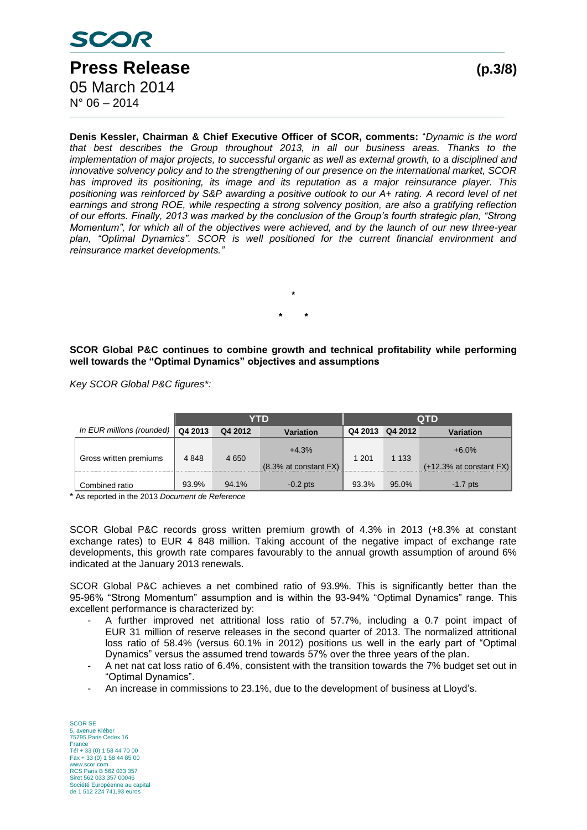

**Denis Kessler, Chairman & Chief Executive Officer of SCOR, comments:** "*Dynamic is the word that best describes the Group throughout 2013, in all our business areas. Thanks to the implementation of major projects, to successful organic as well as external growth, to a disciplined and innovative solvency policy and to the strengthening of our presence on the international market, SCOR has improved its positioning, its image and its reputation as a major reinsurance player. This positioning was reinforced by S&P awarding a positive outlook to our A+ rating. A record level of net earnings and strong ROE, while respecting a strong solvency position, are also a gratifying reflection of our efforts. Finally, 2013 was marked by the conclusion of the Group's fourth strategic plan, "Strong Momentum", for which all of the objectives were achieved, and by the launch of our new three-year plan, "Optimal Dynamics". SCOR is well positioned for the current financial environment and reinsurance market developments."*

**SCOR Global P&C continues to combine growth and technical profitability while performing well towards the "Optimal Dynamics" objectives and assumptions**

**\***

**\* \***

*Key SCOR Global P&C figures\*:*

|                           |         |         | YTD                                    | <b>QTD</b> |         |                                    |  |
|---------------------------|---------|---------|----------------------------------------|------------|---------|------------------------------------|--|
| In EUR millions (rounded) | Q4 2013 | Q4 2012 | <b>Variation</b>                       | Q4 2013    | Q4 2012 | <b>Variation</b>                   |  |
| Gross written premiums    | 4 8 4 8 | 4 6 5 0 | $+4.3%$<br>$(8.3\%$ at constant $FX$ ) | 1 2 0 1    | 1 1 3 3 | $+6.0%$<br>(+12.3% at constant FX) |  |
| Combined ratio            | 93.9%   | 94.1%   | $-0.2$ pts                             | 93.3%      | 95.0%   | $-1.7$ pts                         |  |

\* As reported in the 2013 *Document de Reference*

SCOR Global P&C records gross written premium growth of 4.3% in 2013 (+8.3% at constant exchange rates) to EUR 4 848 million. Taking account of the negative impact of exchange rate developments, this growth rate compares favourably to the annual growth assumption of around 6% indicated at the January 2013 renewals.

SCOR Global P&C achieves a net combined ratio of 93.9%. This is significantly better than the 95-96% "Strong Momentum" assumption and is within the 93-94% "Optimal Dynamics" range. This excellent performance is characterized by:

- A further improved net attritional loss ratio of 57.7%, including a 0.7 point impact of EUR 31 million of reserve releases in the second quarter of 2013. The normalized attritional loss ratio of 58.4% (versus 60.1% in 2012) positions us well in the early part of "Optimal Dynamics" versus the assumed trend towards 57% over the three years of the plan.
- A net nat cat loss ratio of 6.4%, consistent with the transition towards the 7% budget set out in "Optimal Dynamics".
- An increase in commissions to 23.1%, due to the development of business at Lloyd's.

SCOR SE 5, avenue Kléber 75795 Paris Cedex 16 France Tél + 33 (0) 1 58 44 70 00 Fax + 33 (0) 1 58 44 85 00 www.scor.com RCS Paris B 562 033 357 Siret 562 033 357 00046 Société Européenne au capital de 1 512 224 741,93 euros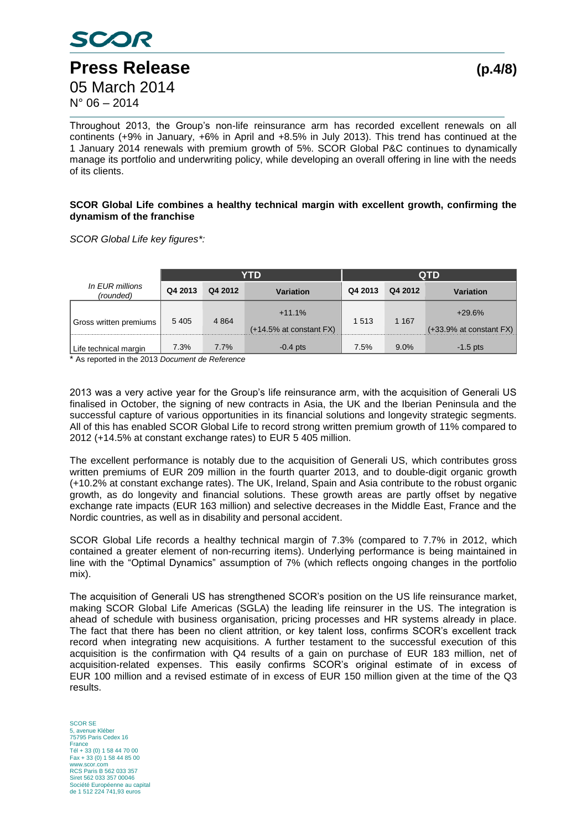

Throughout 2013, the Group's non-life reinsurance arm has recorded excellent renewals on all continents (+9% in January, +6% in April and +8.5% in July 2013). This trend has continued at the 1 January 2014 renewals with premium growth of 5%. SCOR Global P&C continues to dynamically manage its portfolio and underwriting policy, while developing an overall offering in line with the needs of its clients.

#### **SCOR Global Life combines a healthy technical margin with excellent growth, confirming the dynamism of the franchise**

*SCOR Global Life key figures\*:* 

|                              |         |         | YTD                                       | <b>QTD</b> |         |                                           |  |
|------------------------------|---------|---------|-------------------------------------------|------------|---------|-------------------------------------------|--|
| In EUR millions<br>(rounded) | Q4 2013 | Q4 2012 | Variation                                 | Q4 2013    | Q4 2012 | Variation                                 |  |
| Gross written premiums       | 5 4 0 5 | 4 8 6 4 | $+11.1%$<br>$(+14.5\%$ at constant $FX$ ) | 1513       | 1 1 6 7 | $+29.6%$<br>$(+33.9\%$ at constant $FX$ ) |  |
| Life technical margin        | 7.3%    | 7.7%    | $-0.4$ pts                                | 7.5%       | $9.0\%$ | $-1.5$ pts                                |  |

\* As reported in the 2013 *Document de Reference*

2013 was a very active year for the Group's life reinsurance arm, with the acquisition of Generali US finalised in October, the signing of new contracts in Asia, the UK and the Iberian Peninsula and the successful capture of various opportunities in its financial solutions and longevity strategic segments. All of this has enabled SCOR Global Life to record strong written premium growth of 11% compared to 2012 (+14.5% at constant exchange rates) to EUR 5 405 million.

The excellent performance is notably due to the acquisition of Generali US, which contributes gross written premiums of EUR 209 million in the fourth quarter 2013, and to double-digit organic growth (+10.2% at constant exchange rates). The UK, Ireland, Spain and Asia contribute to the robust organic growth, as do longevity and financial solutions. These growth areas are partly offset by negative exchange rate impacts (EUR 163 million) and selective decreases in the Middle East, France and the Nordic countries, as well as in disability and personal accident.

SCOR Global Life records a healthy technical margin of 7.3% (compared to 7.7% in 2012, which contained a greater element of non-recurring items). Underlying performance is being maintained in line with the "Optimal Dynamics" assumption of 7% (which reflects ongoing changes in the portfolio mix).

The acquisition of Generali US has strengthened SCOR's position on the US life reinsurance market, making SCOR Global Life Americas (SGLA) the leading life reinsurer in the US. The integration is ahead of schedule with business organisation, pricing processes and HR systems already in place. The fact that there has been no client attrition, or key talent loss, confirms SCOR's excellent track record when integrating new acquisitions. A further testament to the successful execution of this acquisition is the confirmation with Q4 results of a gain on purchase of EUR 183 million, net of acquisition-related expenses. This easily confirms SCOR's original estimate of in excess of EUR 100 million and a revised estimate of in excess of EUR 150 million given at the time of the Q3 results.

SCOR SE avenue Kléber 75795 Paris Cedex 16 France Tél + 33 (0) 1 58 44 70 00 Fax + 33 (0) 1 58 44 85 00 www.scor.com RCS Paris B 562 033 357 Siret 562 033 357 00046 Société Européenne au capital de 1 512 224 741,93 euros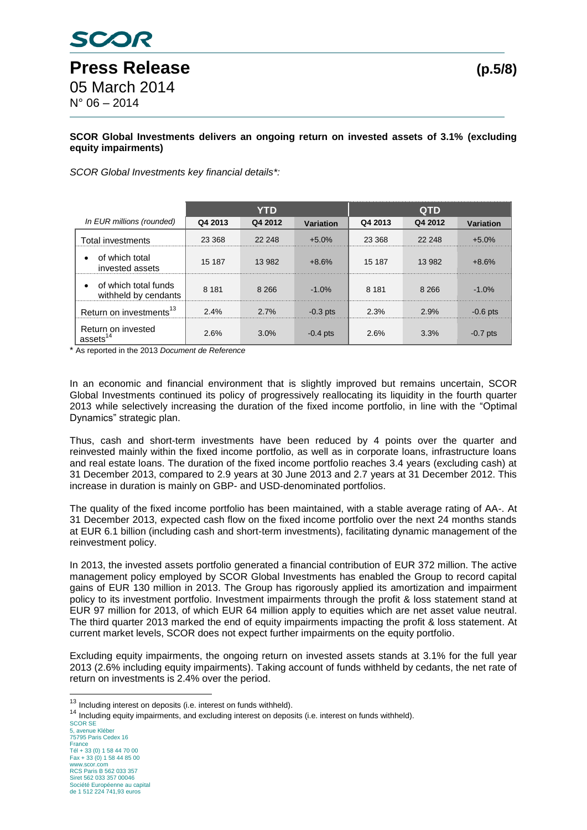## **SCOR Global Investments delivers an ongoing return on invested assets of 3.1% (excluding equity impairments)**

*SCOR Global Investments key financial details\*:*

|                                              |         | YTD     |            | <b>QTD</b> |         |            |  |
|----------------------------------------------|---------|---------|------------|------------|---------|------------|--|
| In EUR millions (rounded)                    | Q4 2013 | Q4 2012 | Variation  | Q4 2013    | Q4 2012 | Variation  |  |
| Total investments                            | 23 368  | 22 248  | $+5.0%$    | 23 368     | 22 248  | $+5.0%$    |  |
| of which total<br>invested assets            | 15 187  | 13 982  | $+8.6%$    | 15 187     | 13 982  | $+8.6%$    |  |
| of which total funds<br>withheld by cendants | 8 1 8 1 | 8 2 6 6 | $-1.0%$    | 8 1 8 1    | 8 2 6 6 | $-1.0%$    |  |
| Return on investments <sup>13</sup>          | 2.4%    | 2.7%    | $-0.3$ pts | 2.3%       | 2.9%    | $-0.6$ pts |  |
| Return on invested<br>assets $^{14}$         | 2.6%    | 3.0%    | $-0.4$ pts | 2.6%       | 3.3%    | $-0.7$ pts |  |

\* As reported in the 2013 *Document de Reference*

In an economic and financial environment that is slightly improved but remains uncertain, SCOR Global Investments continued its policy of progressively reallocating its liquidity in the fourth quarter 2013 while selectively increasing the duration of the fixed income portfolio, in line with the "Optimal Dynamics" strategic plan.

Thus, cash and short-term investments have been reduced by 4 points over the quarter and reinvested mainly within the fixed income portfolio, as well as in corporate loans, infrastructure loans and real estate loans. The duration of the fixed income portfolio reaches 3.4 years (excluding cash) at 31 December 2013, compared to 2.9 years at 30 June 2013 and 2.7 years at 31 December 2012. This increase in duration is mainly on GBP- and USD-denominated portfolios.

The quality of the fixed income portfolio has been maintained, with a stable average rating of AA-. At 31 December 2013, expected cash flow on the fixed income portfolio over the next 24 months stands at EUR 6.1 billion (including cash and short-term investments), facilitating dynamic management of the reinvestment policy.

In 2013, the invested assets portfolio generated a financial contribution of EUR 372 million. The active management policy employed by SCOR Global Investments has enabled the Group to record capital gains of EUR 130 million in 2013. The Group has rigorously applied its amortization and impairment policy to its investment portfolio. Investment impairments through the profit & loss statement stand at EUR 97 million for 2013, of which EUR 64 million apply to equities which are net asset value neutral. The third quarter 2013 marked the end of equity impairments impacting the profit & loss statement. At current market levels, SCOR does not expect further impairments on the equity portfolio.

Excluding equity impairments, the ongoing return on invested assets stands at 3.1% for the full year 2013 (2.6% including equity impairments). Taking account of funds withheld by cedants, the net rate of return on investments is 2.4% over the period.

1

 $13$  Including interest on deposits (i.e. interest on funds withheld).

 $14$  Including equity impairments, and excluding interest on deposits (i.e. interest on funds withheld).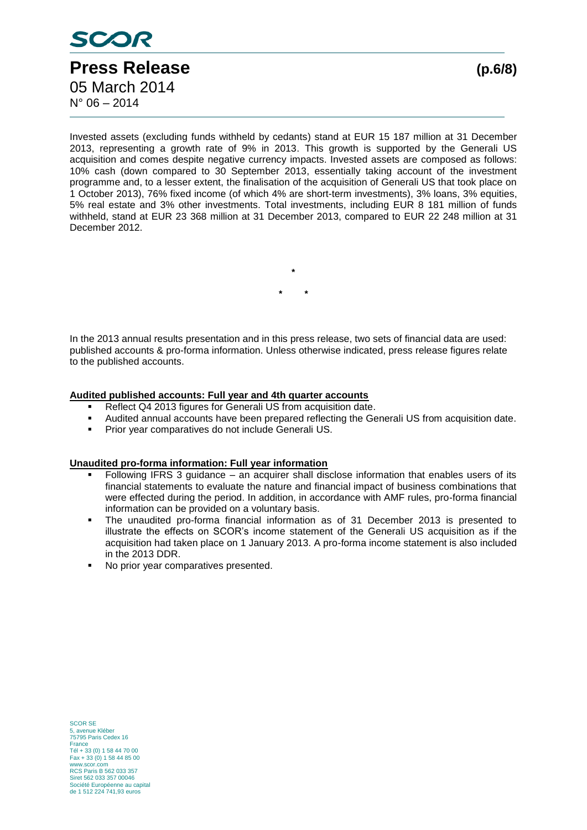

Invested assets (excluding funds withheld by cedants) stand at EUR 15 187 million at 31 December 2013, representing a growth rate of 9% in 2013. This growth is supported by the Generali US acquisition and comes despite negative currency impacts. Invested assets are composed as follows: 10% cash (down compared to 30 September 2013, essentially taking account of the investment programme and, to a lesser extent, the finalisation of the acquisition of Generali US that took place on 1 October 2013), 76% fixed income (of which 4% are short-term investments), 3% loans, 3% equities, 5% real estate and 3% other investments. Total investments, including EUR 8 181 million of funds withheld, stand at EUR 23 368 million at 31 December 2013, compared to EUR 22 248 million at 31 December 2012.

> **\* \* \***

In the 2013 annual results presentation and in this press release, two sets of financial data are used: published accounts & pro-forma information. Unless otherwise indicated, press release figures relate to the published accounts.

#### **Audited published accounts: Full year and 4th quarter accounts**

- Reflect Q4 2013 figures for Generali US from acquisition date.
- Audited annual accounts have been prepared reflecting the Generali US from acquisition date.
- **Prior year comparatives do not include Generali US.**

#### **Unaudited pro-forma information: Full year information**

- Following IFRS 3 guidance an acquirer shall disclose information that enables users of its financial statements to evaluate the nature and financial impact of business combinations that were effected during the period. In addition, in accordance with AMF rules, pro-forma financial information can be provided on a voluntary basis.
- The unaudited pro-forma financial information as of 31 December 2013 is presented to illustrate the effects on SCOR's income statement of the Generali US acquisition as if the acquisition had taken place on 1 January 2013. A pro-forma income statement is also included in the 2013 DDR.
- No prior year comparatives presented.

SCOR SE zurion.<br>
avenue Kléber 75795 Paris Cedex 16 France Tél + 33 (0) 1 58 44 70 00 Fax + 33 (0) 1 58 44 85 00 www.scor.com RCS Paris B 562 033 357 Siret 562 033 357 00046 Société Européenne au capital de 1 512 224 741,93 euros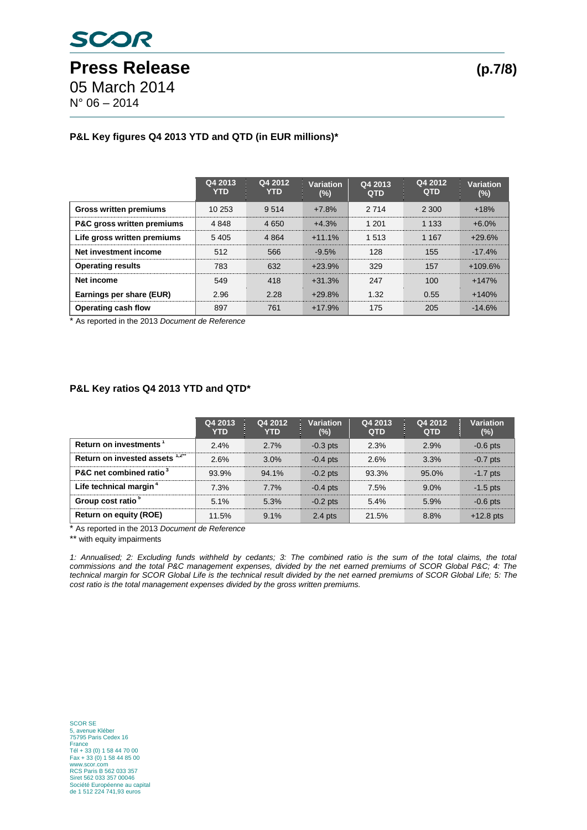## **P&L Key figures Q4 2013 YTD and QTD (in EUR millions)\***

|                               | Q4 2013<br><b>YTD</b> | Q4 2012<br><b>YTD</b> | Variation<br>$(\%)$ | Q4 2013<br><b>QTD</b> | Q4 2012<br><b>QTD</b> | Variation<br>$(\%)$ |
|-------------------------------|-----------------------|-----------------------|---------------------|-----------------------|-----------------------|---------------------|
| <b>Gross written premiums</b> | 10 253                | 9 5 1 4               | $+7.8%$             | 2 7 1 4               | 2 300                 | $+18%$              |
| P&C gross written premiums    | 4 8 4 8               | 4 6 5 0               | $+4.3%$             | 1 201                 | 1 1 3 3               | $+6.0%$             |
| Life gross written premiums   | 5405                  | 4 8 64                | $+11.1%$            | 1 5 1 3               | 1 1 6 7               | $+29.6%$            |
| Net investment income         | 512                   | 566                   | $-9.5%$             | 128                   | 155                   | $-17.4\%$           |
| <b>Operating results</b>      | 783                   | 632                   | $+23.9%$            | 329                   | 157                   | $+109.6%$           |
| Net income                    | 549                   | 418                   | $+31.3%$            | 247                   | 100                   | $+147%$             |
| Earnings per share (EUR)      | 2.96                  | 2.28                  | $+29.8%$            | 1.32                  | 0.55                  | $+140%$             |
| Operating cash flow           | 897                   | 761                   | $+17.9%$            | 175                   | 205                   | $-14.6%$            |

\* As reported in the 2013 *Document de Reference*

#### **P&L Key ratios Q4 2013 YTD and QTD\***

|                                     | Q4 2013<br><b>YTD</b> | Q4 2012<br><b>YTD</b> | <b>Variation</b><br>$(\%)$ | Q4 2013<br><b>QTD</b> | Q4 2012<br><b>QTD</b> | Variation<br>$(\%)$ |
|-------------------------------------|-----------------------|-----------------------|----------------------------|-----------------------|-----------------------|---------------------|
| Return on investments <sup>1</sup>  | 2.4%                  | 2.7%                  | $-0.3$ pts                 | 2.3%                  | 2.9%                  | $-0.6$ pts          |
| Return on invested assets 1,2"      | 2.6%                  | 3.0%                  | $-0.4$ pts                 | 2.6%                  | 3.3%                  | $-0.7$ pts          |
| P&C net combined ratio <sup>3</sup> | 93.9%                 | 94.1%                 | $-0.2$ pts                 | 93.3%                 | 95.0%                 | $-1.7$ pts          |
| Life technical margin <sup>4</sup>  | 7.3%                  | 7.7%                  | $-0.4$ pts                 | 7.5%                  | $9.0\%$               | $-1.5$ pts          |
| Group cost ratio <sup>3</sup>       | 5.1%                  | 5.3%                  | $-0.2$ pts                 | 5.4%                  | 5.9%                  | $-0.6$ pts          |
| <b>Return on equity (ROE)</b>       | 11.5%                 | 9.1%                  | $2.4$ pts                  | 21.5%                 | 8.8%                  | $+12.8$ pts         |

\* As reported in the 2013 *Document de Reference*

\*\* with equity impairments

*1: Annualised; 2: Excluding funds withheld by cedants; 3: The combined ratio is the sum of the total claims, the total commissions and the total P&C management expenses, divided by the net earned premiums of SCOR Global P&C; 4: The*  technical margin for SCOR Global Life is the technical result divided by the net earned premiums of SCOR Global Life; 5: The *cost ratio is the total management expenses divided by the gross written premiums.*

SCOR SE 5, avenue Kléber 75795 Paris Cedex 16 France Tél + 33 (0) 1 58 44 70 00 Fax + 33 (0) 1 58 44 85 00 www.scor.com RCS Paris B 562 033 357 Siret 562 033 357 00046 Société Européenne au capital de 1 512 224 741,93 euros